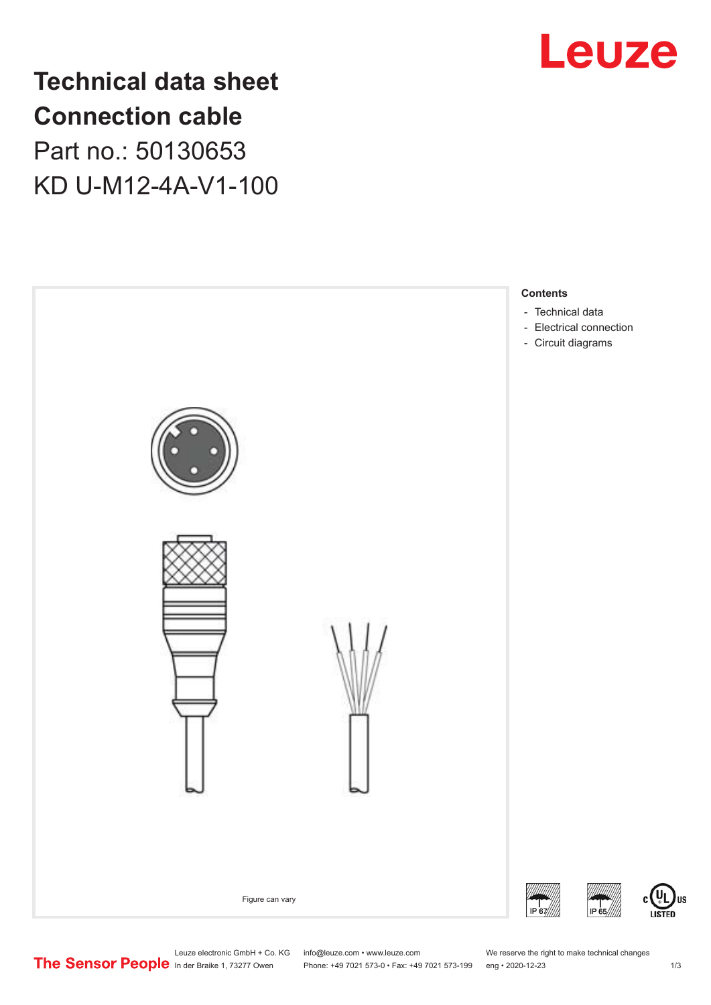

## **Technical data sheet Connection cable** Part no.: 50130653 KD U-M12-4A-V1-100



Leuze electronic GmbH + Co. KG info@leuze.com • www.leuze.com We reserve the right to make technical changes<br>
The Sensor People in der Braike 1, 73277 Owen Phone: +49 7021 573-0 • Fax: +49 7021 573-199 eng • 2020-12-23

Phone: +49 7021 573-0 • Fax: +49 7021 573-199 eng • 2020-12-23 1 /3

US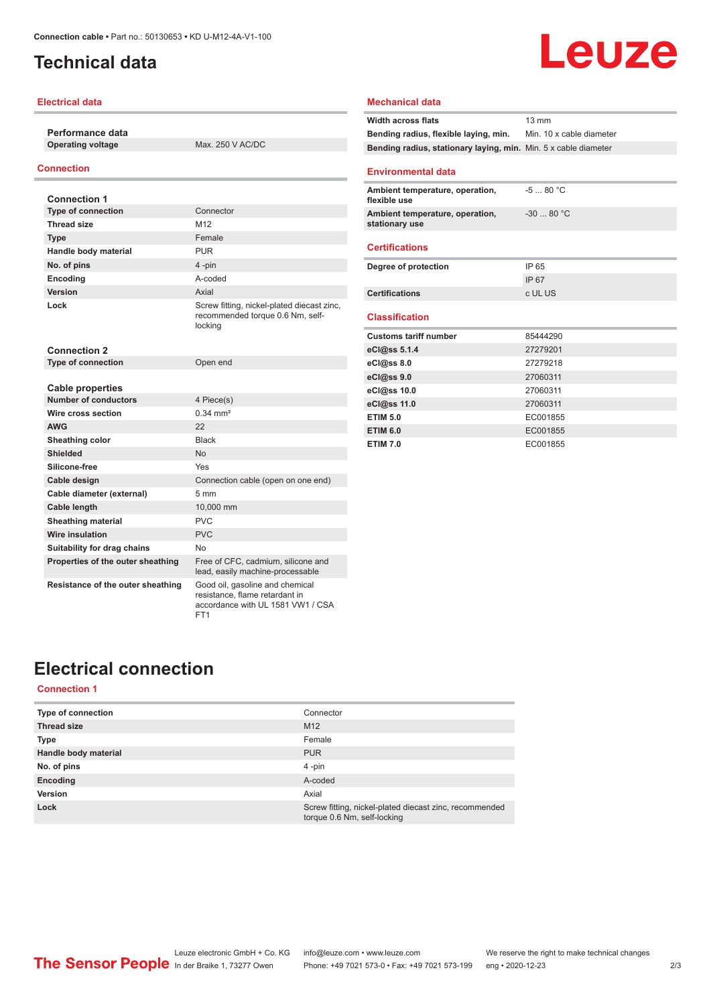## <span id="page-1-0"></span>**Technical data**

#### **Electrical data**

**Performance data**

**Operating voltage** Max. 250 V AC/DC

#### **Connection**

| <b>Connection 1</b>               |                                                                                                        |
|-----------------------------------|--------------------------------------------------------------------------------------------------------|
| <b>Type of connection</b>         | Connector                                                                                              |
| <b>Thread size</b>                | M <sub>12</sub>                                                                                        |
| <b>Type</b>                       | Female                                                                                                 |
| Handle body material              | <b>PUR</b>                                                                                             |
| No. of pins                       | 4-pin                                                                                                  |
| Encoding                          | A-coded                                                                                                |
| Version                           | Axial                                                                                                  |
| Lock                              | Screw fitting, nickel-plated diecast zinc,<br>recommended torque 0.6 Nm, self-<br>locking              |
| <b>Connection 2</b>               |                                                                                                        |
| <b>Type of connection</b>         | Open end                                                                                               |
|                                   |                                                                                                        |
| Cable properties                  |                                                                                                        |
| <b>Number of conductors</b>       | 4 Piece(s)                                                                                             |
| Wire cross section                | $0.34 \, \text{mm}^2$                                                                                  |
| <b>AWG</b>                        | 22                                                                                                     |
| Sheathing color                   | <b>Black</b>                                                                                           |
| Shielded                          | No                                                                                                     |
| Silicone-free                     | Yes                                                                                                    |
| Cable design                      | Connection cable (open on one end)                                                                     |
| Cable diameter (external)         | $5 \text{ mm}$                                                                                         |
| Cable length                      | 10,000 mm                                                                                              |
| <b>Sheathing material</b>         | <b>PVC</b>                                                                                             |
| Wire insulation                   | PVC                                                                                                    |
| Suitability for drag chains       | No                                                                                                     |
| Properties of the outer sheathing | Free of CFC, cadmium, silicone and<br>lead, easily machine-processable                                 |
| Resistance of the outer sheathing | Good oil, gasoline and chemical<br>resistance, flame retardant in<br>accordance with UL 1581 VW1 / CSA |

FT1

## Leuze

#### **Mechanical data**

| <b>Width across flats</b>                                       | $13 \text{ mm}$          |
|-----------------------------------------------------------------|--------------------------|
| Bending radius, flexible laying, min.                           | Min. 10 x cable diameter |
| Bending radius, stationary laying, min. Min. 5 x cable diameter |                          |
|                                                                 |                          |
| <b>Environmental data</b>                                       |                          |
| Ambient temperature, operation,<br>flexible use                 | $-580 °C$                |
| Ambient temperature, operation,<br>stationary use               | $-3080 °C$               |
| <b>Certifications</b>                                           |                          |
| Degree of protection                                            | IP 65                    |
|                                                                 | IP 67                    |
| <b>Certifications</b>                                           | c UL US                  |
|                                                                 |                          |
| <b>Classification</b>                                           |                          |
| <b>Customs tariff number</b>                                    | 85444290                 |
| eCl@ss 5.1.4                                                    | 27279201                 |
| eCl@ss 8.0                                                      | 27279218                 |
| eCl@ss 9.0                                                      | 27060311                 |
| eCl@ss 10.0                                                     | 27060311                 |
| eCl@ss 11.0                                                     | 27060311                 |
| <b>ETIM 5.0</b>                                                 | EC001855                 |
| <b>ETIM 6.0</b>                                                 | EC001855                 |
| <b>ETIM 7.0</b>                                                 | EC001855                 |

## **Electrical connection**

#### **Connection 1**

| <b>Type of connection</b> | Connector                                                                             |
|---------------------------|---------------------------------------------------------------------------------------|
| <b>Thread size</b>        | M <sub>12</sub>                                                                       |
| <b>Type</b>               | Female                                                                                |
| Handle body material      | <b>PUR</b>                                                                            |
| No. of pins               | $4$ -pin                                                                              |
| Encoding                  | A-coded                                                                               |
| Version                   | Axial                                                                                 |
| Lock                      | Screw fitting, nickel-plated diecast zinc, recommended<br>torque 0.6 Nm, self-locking |